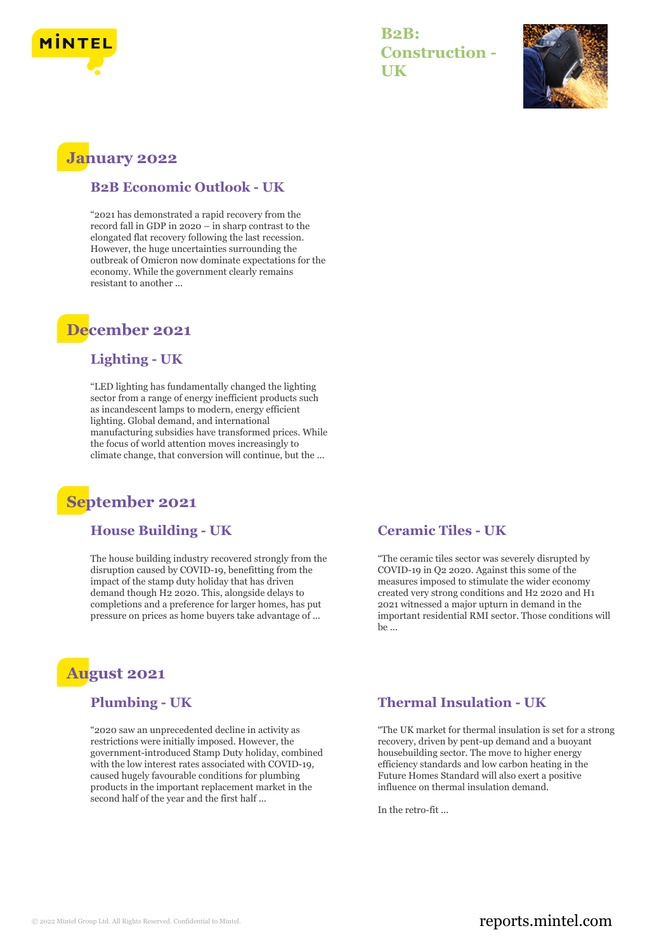

**B2B: Construction - UK**



## **January 2022**

#### **B2B Economic Outlook - UK**

"2021 has demonstrated a rapid recovery from the record fall in GDP in 2020 – in sharp contrast to the elongated flat recovery following the last recession. However, the huge uncertainties surrounding the outbreak of Omicron now dominate expectations for the economy. While the government clearly remains resistant to another ...

## **December 2021**

### **Lighting - UK**

"LED lighting has fundamentally changed the lighting sector from a range of energy inefficient products such as incandescent lamps to modern, energy efficient lighting. Global demand, and international manufacturing subsidies have transformed prices. While the focus of world attention moves increasingly to climate change, that conversion will continue, but the ...

## **September 2021**

#### **House Building - UK**

The house building industry recovered strongly from the disruption caused by COVID-19, benefitting from the impact of the stamp duty holiday that has driven demand though H2 2020. This, alongside delays to completions and a preference for larger homes, has put pressure on prices as home buyers take advantage of ...

# **August 2021**

#### **Plumbing - UK**

"2020 saw an unprecedented decline in activity as restrictions were initially imposed. However, the government-introduced Stamp Duty holiday, combined with the low interest rates associated with COVID-19, caused hugely favourable conditions for plumbing products in the important replacement market in the second half of the year and the first half ...

#### **Ceramic Tiles - UK**

"The ceramic tiles sector was severely disrupted by COVID-19 in Q2 2020. Against this some of the measures imposed to stimulate the wider economy created very strong conditions and H2 2020 and H1 2021 witnessed a major upturn in demand in the important residential RMI sector. Those conditions will be ...

#### **Thermal Insulation - UK**

"The UK market for thermal insulation is set for a strong recovery, driven by pent-up demand and a buoyant housebuilding sector. The move to higher energy efficiency standards and low carbon heating in the Future Homes Standard will also exert a positive influence on thermal insulation demand.

In the retro-fit ...